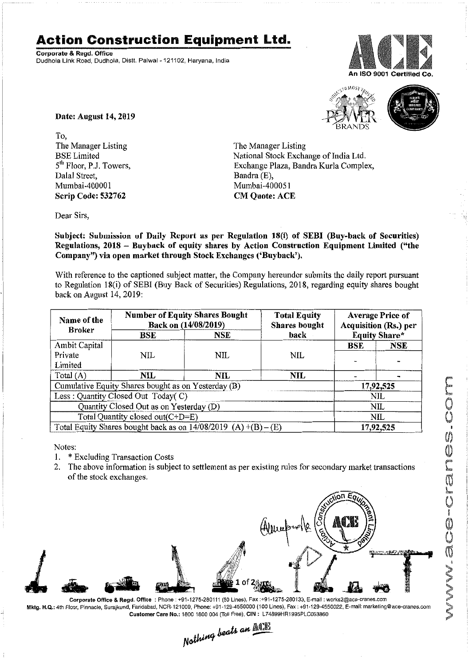## **Action Construction Equipment Ltd.**

Corporate & Regd. Office Dudhola Link Road, Dudhola, Dislt. Palwal- 121102, Haryana, India





Date: August 14,2019

To, The Manager Listing BSE Limited 5<sup>th</sup> Floor, P.J. Towers, Dalal Street, Mumbai·400001 Scrip Code: 532762

The Manager Listing National Stock Exchange of India Ltd. Exchange Plaza, Bandra Kurla Complex, Bandra (E), Mumbai-4000S1 **CM Quote: ACE** 

Dear Sirs,

Subject: Submission of Daily Report as per Regulation 18(i) of SEBI (Buy-back of Securities) Regulations, 2018 - Buyback of equity shares by Action Construction Equipment Limited ("the Company") via open market through Stock Exchanges ('Buyback').

With reference to the captioned subject matter, the Company hereunder submits the daily report pursuant to Regulation 18(i) of SEBI (Buy Back of Securities) Regulations, 2018, regarding equity shares bought back on August 14,2019:

| Name of the<br><b>Broker</b>                                      | <b>Number of Equity Shares Bought</b><br>Back on (14/08/2019) |            | <b>Total Equity</b><br><b>Shares</b> bought | <b>Average Price of</b><br>Acquisition (Rs.) per |           |  |
|-------------------------------------------------------------------|---------------------------------------------------------------|------------|---------------------------------------------|--------------------------------------------------|-----------|--|
|                                                                   | BSE                                                           | NSE        | back                                        | <b>Equity Share*</b>                             |           |  |
| Ambit Capital                                                     |                                                               |            |                                             | <b>BSE</b>                                       | NSE       |  |
| Private                                                           | NIL                                                           | <b>NIL</b> | NIL                                         |                                                  |           |  |
| Limited                                                           |                                                               |            |                                             |                                                  |           |  |
| Total $(A)$                                                       | <b>NIL</b>                                                    | NIL        | NIL                                         |                                                  |           |  |
| Cumulative Equity Shares bought as on Yesterday (B)               |                                                               |            |                                             |                                                  | 17,92,525 |  |
| Less: Quantity Closed Out Today(C)                                |                                                               |            |                                             | NIL                                              |           |  |
| Quantity Closed Out as on Yesterday (D)                           |                                                               |            |                                             | NIL                                              |           |  |
| Total Quantity closed out(C+D=E)                                  |                                                               |            |                                             |                                                  | NIL       |  |
| Total Equity Shares bought back as on $14/08/2019$ (A) +(B) – (E) |                                                               |            |                                             | 17,92,525                                        |           |  |

Notes:

- 1. \* Excluding Transaction Costs
- 2. The above information is subject to settlement as per existing rules for secondary market transactions of the stock exchanges.



Corporate Office & Regd. Office: Phone: +91-1275·280111 (50 Lines), Fax:+91-1275-280133. E-mail: works2@ace-cranes.com Mktg. H.Q.: 4th Floor, Pinnacle, Surajkund, Faridahad, NCR-12i 009, Phone: +91-129-4550000 (100 Lines), Fax: +91-129-4550022. E-mail:marketing@ace-cranes.com

Customer Care No.: 1800 1800 004 (Toll Free). CIN: L74899HR1995PLC053860<br>
Mathima beats an **Allie** 

 $\cdot$   $\mathcal{P}^1_1$